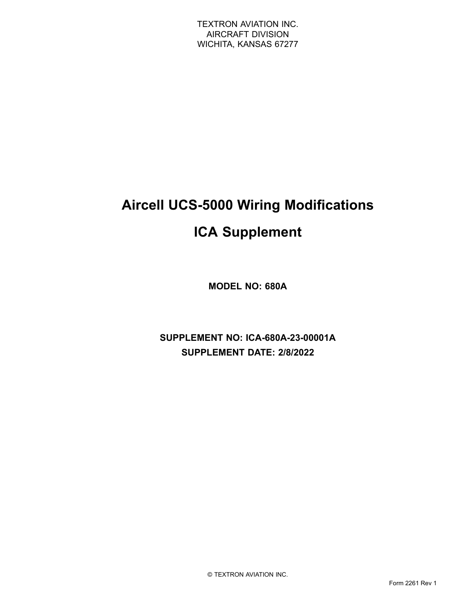# **Aircell UCS-5000 Wiring Modifications ICA Supplement**

**MODEL NO: 680A**

**SUPPLEMENT NO: ICA-680A-23-00001A SUPPLEMENT DATE: 2/8/2022**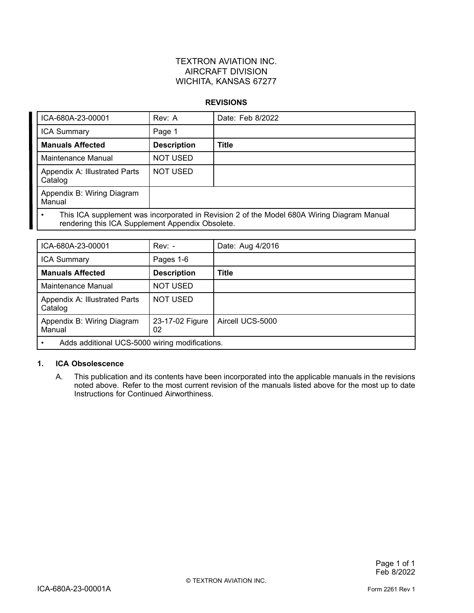### TEXTRON AVIATION INC. AIRCRAFT DIVISION WICHITA, KANSAS 67277

#### **REVISIONS**

| ICA-680A-23-00001                                                                                                                              | Rev: A             | Date: Feb 8/2022 |
|------------------------------------------------------------------------------------------------------------------------------------------------|--------------------|------------------|
| <b>ICA Summary</b>                                                                                                                             | Page 1             |                  |
| <b>Manuals Affected</b>                                                                                                                        | <b>Description</b> | Title            |
| Maintenance Manual                                                                                                                             | <b>NOT USED</b>    |                  |
| Appendix A: Illustrated Parts<br>Catalog                                                                                                       | <b>NOT USED</b>    |                  |
| Appendix B: Wiring Diagram<br>Manual                                                                                                           |                    |                  |
| This ICA supplement was incorporated in Revision 2 of the Model 680A Wiring Diagram Manual<br>rendering this ICA Supplement Appendix Obsolete. |                    |                  |

| ICA-680A-23-00001                              | $Rev: -$              | Date: Aug 4/2016 |  |
|------------------------------------------------|-----------------------|------------------|--|
| <b>ICA Summary</b>                             | Pages 1-6             |                  |  |
| <b>Manuals Affected</b>                        | <b>Description</b>    | <b>Title</b>     |  |
| Maintenance Manual                             | <b>NOT USED</b>       |                  |  |
| Appendix A: Illustrated Parts<br>Catalog       | <b>NOT USED</b>       |                  |  |
| Appendix B: Wiring Diagram<br>Manual           | 23-17-02 Figure<br>02 | Aircell UCS-5000 |  |
| Adds additional UCS-5000 wiring modifications. |                       |                  |  |

### **1. ICA Obsolescence**

A. This publication and its contents have been incorporated into the applicable manuals in the revisions noted above. Refer to the most current revision of the manuals listed above for the most up to date Instructions for Continued Airworthiness.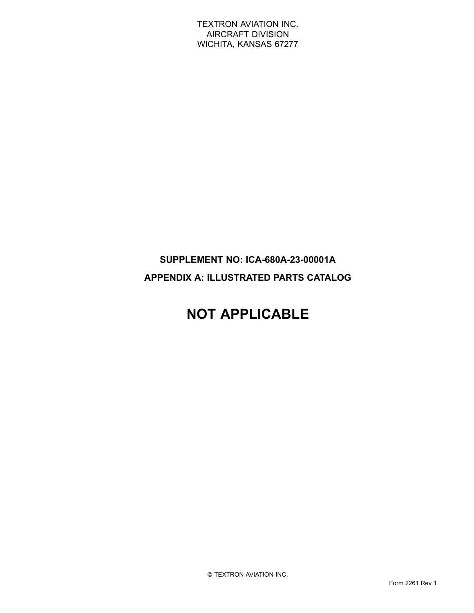TEXTRON AVIATION INC. AIRCRAFT DIVISION WICHITA, KANSAS 67277

### **SUPPLEMENT NO: ICA-680A-23-00001A APPENDIX A: ILLUSTRATED PARTS CATALOG**

## **NOT APPLICABLE**